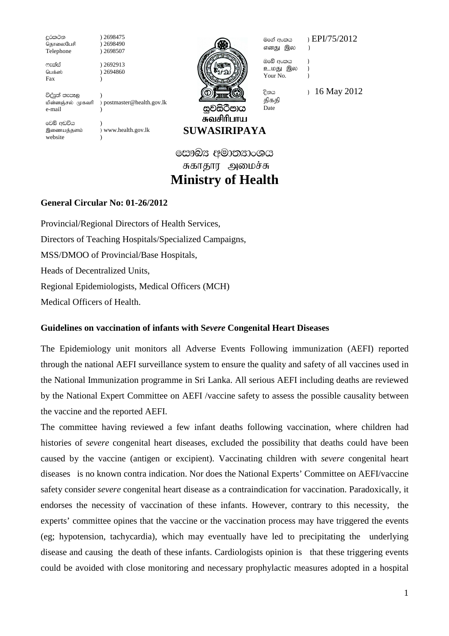දුරකථන தொலைபேசி Telephone

பெக்ஸ்

Fax

 $2692913$ ) 2694860 Ì

විද්යුත් තැපෑල மின்னஞ்சல் முகவரி ) postmaster@health.gov.lk e-mail

2698475

) 2698490

) 2698507

වෙබ් අඩවිය Ì இணையத்தளம் website

) www.health.gov.lk



මගේ අංකය எனது இல

ඔබේ අංකය உமது இல Your No.

දිනය

Date

திகதி

16 May 2012

EPI/75/2012

 $\lambda$ 

 $\overline{ }$ 

 $\lambda$ 

 $\lambda$ 

සෞඛ $x$  අමාතනාංශය சுகாதார அமைச்சு **Ministry of Health** 

சுவசிரிபாய

**SUWASIRIPAYA** 

## **General Circular No: 01-26/2012**

Provincial/Regional Directors of Health Services, Directors of Teaching Hospitals/Specialized Campaigns, MSS/DMOO of Provincial/Base Hospitals, Heads of Decentralized Units. Regional Epidemiologists, Medical Officers (MCH) Medical Officers of Health.

## Guidelines on vaccination of infants with Severe Congenital Heart Diseases

The Epidemiology unit monitors all Adverse Events Following immunization (AEFI) reported through the national AEFI surveillance system to ensure the quality and safety of all vaccines used in the National Immunization programme in Sri Lanka. All serious AEFI including deaths are reviewed by the National Expert Committee on AEFI /vaccine safety to assess the possible causality between the vaccine and the reported AEFI.

The committee having reviewed a few infant deaths following vaccination, where children had histories of *severe* congenital heart diseases, excluded the possibility that deaths could have been caused by the vaccine (antigen or excipient). Vaccinating children with *severe* congenital heart diseases is no known contra indication. Nor does the National Experts' Committee on AEFI/vaccine safety consider *severe* congenital heart disease as a contraindication for vaccination. Paradoxically, it endorses the necessity of vaccination of these infants. However, contrary to this necessity, the experts' committee opines that the vaccine or the vaccination process may have triggered the events (eg; hypotension, tachycardia), which may eventually have led to precipitating the underlying disease and causing the death of these infants. Cardiologists opinion is that these triggering events could be avoided with close monitoring and necessary prophylactic measures adopted in a hospital